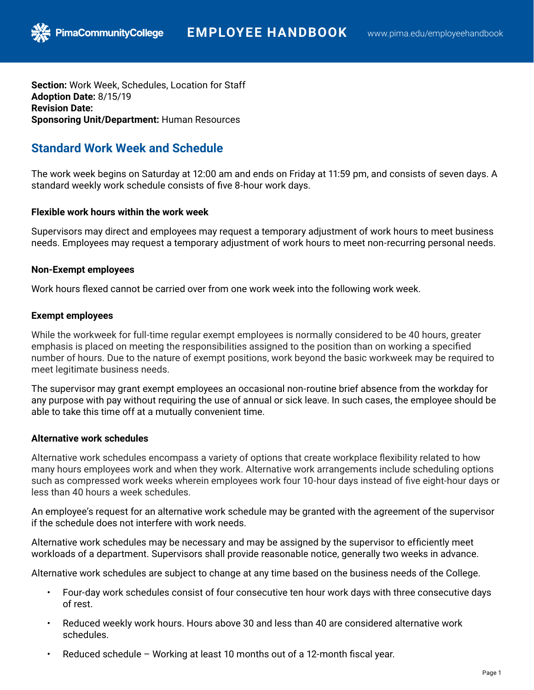**Section:** Work Week, Schedules, Location for Staff **Adoption Date:** 8/15/19 **Revision Date: Sponsoring Unit/Department:** Human Resources

# **Standard Work Week and Schedule**

**PimaCommunityCollege** 

The work week begins on Saturday at 12:00 am and ends on Friday at 11:59 pm, and consists of seven days. A standard weekly work schedule consists of five 8-hour work days.

### **Flexible work hours within the work week**

Supervisors may direct and employees may request a temporary adjustment of work hours to meet business needs. Employees may request a temporary adjustment of work hours to meet non-recurring personal needs.

# **Non-Exempt employees**

Work hours flexed cannot be carried over from one work week into the following work week.

# **Exempt employees**

While the workweek for full-time regular exempt employees is normally considered to be 40 hours, greater emphasis is placed on meeting the responsibilities assigned to the position than on working a specified number of hours. Due to the nature of exempt positions, work beyond the basic workweek may be required to meet legitimate business needs.

The supervisor may grant exempt employees an occasional non-routine brief absence from the workday for any purpose with pay without requiring the use of annual or sick leave. In such cases, the employee should be able to take this time off at a mutually convenient time.

### **Alternative work schedules**

Alternative work schedules encompass a variety of options that create workplace flexibility related to how many hours employees work and when they work. Alternative work arrangements include scheduling options such as compressed work weeks wherein employees work four 10-hour days instead of five eight-hour days or less than 40 hours a week schedules.

An employee's request for an alternative work schedule may be granted with the agreement of the supervisor if the schedule does not interfere with work needs.

Alternative work schedules may be necessary and may be assigned by the supervisor to efficiently meet workloads of a department. Supervisors shall provide reasonable notice, generally two weeks in advance.

Alternative work schedules are subject to change at any time based on the business needs of the College.

- Four-day work schedules consist of four consecutive ten hour work days with three consecutive days of rest.
- Reduced weekly work hours. Hours above 30 and less than 40 are considered alternative work schedules.
- Reduced schedule Working at least 10 months out of a 12-month fiscal year.